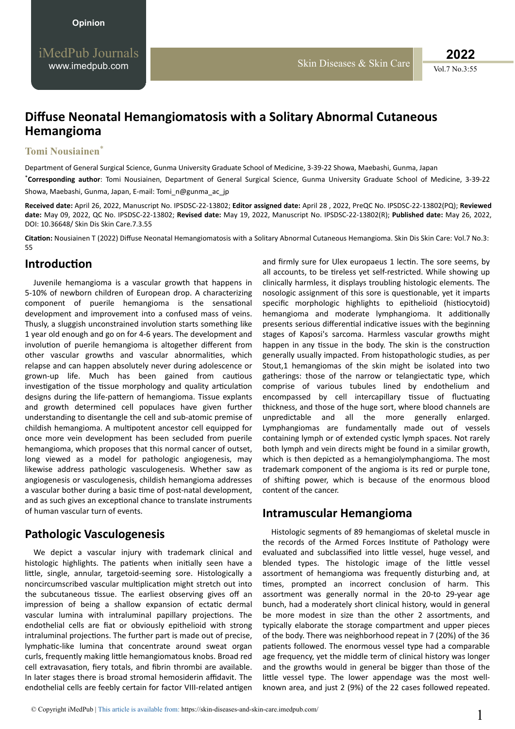# **Diffuse Neonatal Hemangiomatosis with a Solitary Abnormal Cutaneous Hemangioma**

#### **Tomi Nousiainen**\*

Department of General Surgical Science, Gunma University Graduate School of Medicine, 3-39-22 Showa, Maebashi, Gunma, Japan

\***Corresponding author**: Tomi Nousiainen, Department of General Surgical Science, Gunma University Graduate School of Medicine, 3-39-22 Showa, Maebashi, Gunma, Japan, E-mail: Tomi\_n@gunma\_ac\_jp

**Received date:** April 26, 2022, Manuscript No. IPSDSC-22-13802; **Editor assigned date:** April 28 , 2022, PreQC No. IPSDSC-22-13802(PQ); **Reviewed date:** May 09, 2022, QC No. IPSDSC-22-13802; **Revised date:** May 19, 2022, Manuscript No. IPSDSC-22-13802(R); **Published date:** May 26, 2022, DOI: 10.36648/ Skin Dis Skin Care.7.3.55

**Citation:** Nousiainen T (2022) Diffuse Neonatal Hemangiomatosis with a Solitary Abnormal Cutaneous Hemangioma. Skin Dis Skin Care: Vol.7 No.3: 55

## **Introduction**

Juvenile hemangioma is a vascular growth that happens in 5-10% of newborn children of European drop. A characterizing component of puerile hemangioma is the sensational development and improvement into a confused mass of veins. Thusly, a sluggish unconstrained involution starts something like 1 year old enough and go on for 4-6 years. The development and involution of puerile hemangioma is altogether different from other vascular growths and vascular abnormalities, which relapse and can happen absolutely never during adolescence or grown-up life. Much has been gained from cautious investigation of the tissue morphology and quality articulation designs during the life-pattern of hemangioma. Tissue explants and growth determined cell populaces have given further understanding to disentangle the cell and sub-atomic premise of childish hemangioma. A multipotent ancestor cell equipped for once more vein development has been secluded from puerile hemangioma, which proposes that this normal cancer of outset, long viewed as a model for pathologic angiogenesis, may likewise address pathologic vasculogenesis. Whether saw as angiogenesis or vasculogenesis, childish hemangioma addresses a vascular bother during a basic time of post-natal development, and as such gives an exceptional chance to translate instruments of human vascular turn of events.

## **Pathologic Vasculogenesis**

We depict a vascular injury with trademark clinical and histologic highlights. The patients when initially seen have a little, single, annular, targetoid-seeming sore. Histologically a noncircumscribed vascular multiplication might stretch out into the subcutaneous tissue. The earliest observing gives off an impression of being a shallow expansion of ectatic dermal vascular lumina with intraluminal papillary projections. The endothelial cells are fiat or obviously epithelioid with strong intraluminal projections. The further part is made out of precise, lymphatic-like lumina that concentrate around sweat organ curls, frequently making little hemangiomatous knobs. Broad red cell extravasation, fiery totals, and fibrin thrombi are available. In later stages there is broad stromal hemosiderin affidavit. The endothelial cells are feebly certain for factor VIII-related antigen

and firmly sure for Ulex europaeus 1 lectin. The sore seems, by all accounts, to be tireless vet self-restricted. While showing up clinically harmless, it displays troubling histologic elements. The nosologic assignment of this sore is questionable, yet it imparts specific morphologic highlights to epithelioid (histiocytoid) hemangioma and moderate lymphangioma. It additionally presents serious differential indicative issues with the beginning stages of Kaposi's sarcoma. Harmless vascular growths might happen in any tissue in the body. The skin is the construction generally usually impacted. From histopathologic studies, as per Stout,1 hemangiomas of the skin might be isolated into two gatherings: those of the narrow or telangiectatic type, which comprise of various tubules lined by endothelium and encompassed by cell intercapillary tissue of fluctuating thickness, and those of the huge sort, where blood channels are unpredictable and all the more generally enlarged. Lymphangiomas are fundamentally made out of vessels containing lymph or of extended cystic lymph spaces. Not rarely both lymph and vein directs might be found in a similar growth, which is then depicted as a hemangiolymphangioma. The most trademark component of the angioma is its red or purple tone, of shifting power, which is because of the enormous blood content of the cancer.

### **Intramuscular Hemangioma**

Histologic segments of 89 hemangiomas of skeletal muscle in the records of the Armed Forces Institute of Pathology were evaluated and subclassified into little vessel, huge vessel, and blended types. The histologic image of the little vessel assortment of hemangioma was frequently disturbing and, at times, prompted an incorrect conclusion of harm. This assortment was generally normal in the 20-to 29-year age bunch, had a moderately short clinical history, would in general be more modest in size than the other 2 assortments, and typically elaborate the storage compartment and upper pieces of the body. There was neighborhood repeat in 7 (20%) of the 36 patients followed. The enormous vessel type had a comparable age frequency, yet the middle term of clinical history was longer and the growths would in general be bigger than those of the little vessel type. The lower appendage was the most wellknown area, and just 2 (9%) of the 22 cases followed repeated.